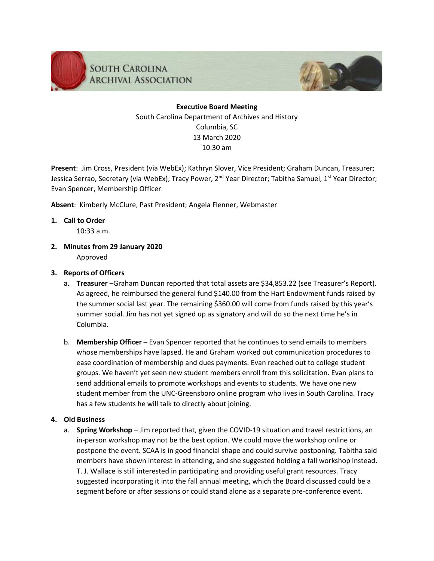



## **Executive Board Meeting** South Carolina Department of Archives and History Columbia, SC 13 March 2020 10:30 am

**Present**: Jim Cross, President (via WebEx); Kathryn Slover, Vice President; Graham Duncan, Treasurer; Jessica Serrao, Secretary (via WebEx); Tracy Power, 2<sup>nd</sup> Year Director; Tabitha Samuel, 1<sup>st</sup> Year Director; Evan Spencer, Membership Officer

**Absent**: Kimberly McClure, Past President; Angela Flenner, Webmaster

### **1. Call to Order**

10:33 a.m.

**2. Minutes from 29 January 2020**

Approved

## **3. Reports of Officers**

- a. **Treasurer** –Graham Duncan reported that total assets are \$34,853.22 (see Treasurer's Report). As agreed, he reimbursed the general fund \$140.00 from the Hart Endowment funds raised by the summer social last year. The remaining \$360.00 will come from funds raised by this year's summer social. Jim has not yet signed up as signatory and will do so the next time he's in Columbia.
- b. **Membership Officer** Evan Spencer reported that he continues to send emails to members whose memberships have lapsed. He and Graham worked out communication procedures to ease coordination of membership and dues payments. Evan reached out to college student groups. We haven't yet seen new student members enroll from this solicitation. Evan plans to send additional emails to promote workshops and events to students. We have one new student member from the UNC-Greensboro online program who lives in South Carolina. Tracy has a few students he will talk to directly about joining.

## **4. Old Business**

a. **Spring Workshop** – Jim reported that, given the COVID-19 situation and travel restrictions, an in-person workshop may not be the best option. We could move the workshop online or postpone the event. SCAA is in good financial shape and could survive postponing. Tabitha said members have shown interest in attending, and she suggested holding a fall workshop instead. T. J. Wallace is still interested in participating and providing useful grant resources. Tracy suggested incorporating it into the fall annual meeting, which the Board discussed could be a segment before or after sessions or could stand alone as a separate pre-conference event.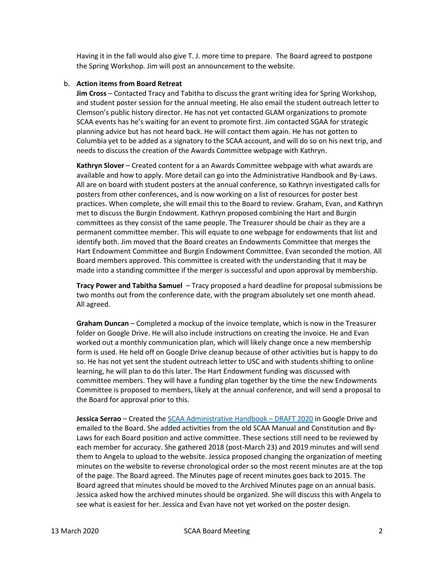Having it in the fall would also give T. J. more time to prepare. The Board agreed to postpone the Spring Workshop. Jim will post an announcement to the website.

#### b. **Action items from Board Retreat**

**Jim Cross** – Contacted Tracy and Tabitha to discuss the grant writing idea for Spring Workshop, and student poster session for the annual meeting. He also email the student outreach letter to Clemson's public history director. He has not yet contacted GLAM organizations to promote SCAA events has he's waiting for an event to promote first. Jim contacted SGAA for strategic planning advice but has not heard back. He will contact them again. He has not gotten to Columbia yet to be added as a signatory to the SCAA account, and will do so on his next trip, and needs to discuss the creation of the Awards Committee webpage with Kathryn.

**Kathryn Slover** – Created content for a an Awards Committee webpage with what awards are available and how to apply. More detail can go into the Administrative Handbook and By-Laws. All are on board with student posters at the annual conference, so Kathryn investigated calls for posters from other conferences, and is now working on a list of resources for poster best practices. When complete, she will email this to the Board to review. Graham, Evan, and Kathryn met to discuss the Burgin Endowment. Kathryn proposed combining the Hart and Burgin committees as they consist of the same people. The Treasurer should be chair as they are a permanent committee member. This will equate to one webpage for endowments that list and identify both. Jim moved that the Board creates an Endowments Committee that merges the Hart Endowment Committee and Burgin Endowment Committee. Evan seconded the motion. All Board members approved. This committee is created with the understanding that it may be made into a standing committee if the merger is successful and upon approval by membership.

**Tracy Power and Tabitha Samuel** – Tracy proposed a hard deadline for proposal submissions be two months out from the conference date, with the program absolutely set one month ahead. All agreed.

**Graham Duncan** – Completed a mockup of the invoice template, which is now in the Treasurer folder on Google Drive. He will also include instructions on creating the invoice. He and Evan worked out a monthly communication plan, which will likely change once a new membership form is used. He held off on Google Drive cleanup because of other activities but is happy to do so. He has not yet sent the student outreach letter to USC and with students shifting to online learning, he will plan to do this later. The Hart Endowment funding was discussed with committee members. They will have a funding plan together by the time the new Endowments Committee is proposed to members, likely at the annual conference, and will send a proposal to the Board for approval prior to this.

**Jessica Serrao** – Created the [SCAA Administrative Handbook](https://drive.google.com/open?id=1GqIwXeciwWdVpDZyyTR2nfHuvIpxtTQbAkWSI4hm2sI) – DRAFT 2020 in Google Drive and emailed to the Board. She added activities from the old SCAA Manual and Constitution and By-Laws for each Board position and active committee. These sections still need to be reviewed by each member for accuracy. She gathered 2018 (post-March 23) and 2019 minutes and will send them to Angela to upload to the website. Jessica proposed changing the organization of meeting minutes on the website to reverse chronological order so the most recent minutes are at the top of the page. The Board agreed. The Minutes page of recent minutes goes back to 2015. The Board agreed that minutes should be moved to the Archived Minutes page on an annual basis. Jessica asked how the archived minutes should be organized. She will discuss this with Angela to see what is easiest for her. Jessica and Evan have not yet worked on the poster design.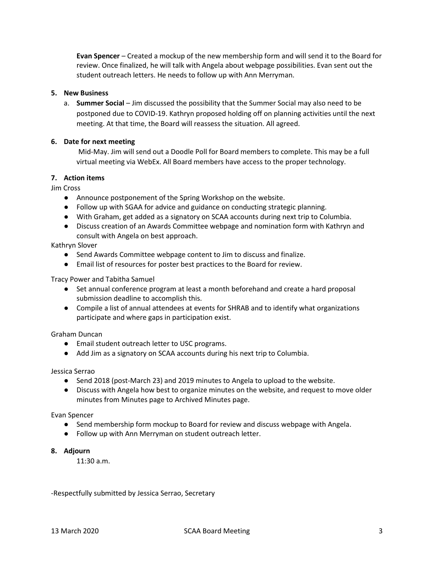**Evan Spencer** – Created a mockup of the new membership form and will send it to the Board for review. Once finalized, he will talk with Angela about webpage possibilities. Evan sent out the student outreach letters. He needs to follow up with Ann Merryman.

#### **5. New Business**

a. **Summer Social** – Jim discussed the possibility that the Summer Social may also need to be postponed due to COVID-19. Kathryn proposed holding off on planning activities until the next meeting. At that time, the Board will reassess the situation. All agreed.

#### **6. Date for next meeting**

Mid-May. Jim will send out a Doodle Poll for Board members to complete. This may be a full virtual meeting via WebEx. All Board members have access to the proper technology.

#### **7. Action items**

Jim Cross

- Announce postponement of the Spring Workshop on the website.
- Follow up with SGAA for advice and guidance on conducting strategic planning.
- With Graham, get added as a signatory on SCAA accounts during next trip to Columbia.
- Discuss creation of an Awards Committee webpage and nomination form with Kathryn and consult with Angela on best approach.

#### Kathryn Slover

- Send Awards Committee webpage content to Jim to discuss and finalize.
- Email list of resources for poster best practices to the Board for review.

Tracy Power and Tabitha Samuel

- Set annual conference program at least a month beforehand and create a hard proposal submission deadline to accomplish this.
- Compile a list of annual attendees at events for SHRAB and to identify what organizations participate and where gaps in participation exist.

#### Graham Duncan

- Email student outreach letter to USC programs.
- Add Jim as a signatory on SCAA accounts during his next trip to Columbia.

#### Jessica Serrao

- Send 2018 (post-March 23) and 2019 minutes to Angela to upload to the website.
- Discuss with Angela how best to organize minutes on the website, and request to move older minutes from Minutes page to Archived Minutes page.

#### Evan Spencer

- Send membership form mockup to Board for review and discuss webpage with Angela.
- Follow up with Ann Merryman on student outreach letter.
- **8. Adjourn**

11:30 a.m.

-Respectfully submitted by Jessica Serrao, Secretary